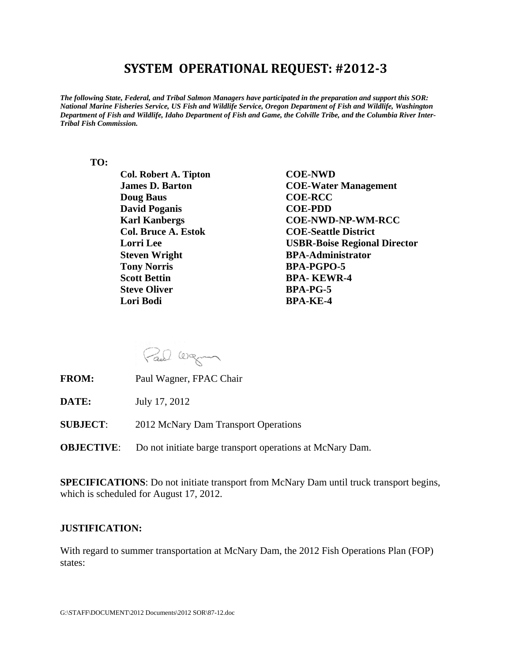## **SYSTEM OPERATIONAL REQUEST: #2012‐3**

*The following State, Federal, and Tribal Salmon Managers have participated in the preparation and support this SOR: National Marine Fisheries Service, US Fish and Wildlife Service, Oregon Department of Fish and Wildlife, Washington Department of Fish and Wildlife, Idaho Department of Fish and Game, the Colville Tribe, and the Columbia River Inter-Tribal Fish Commission.* 

## **TO:**

 **Col. Robert A. Tipton COE-NWD Doug Baus COE-RCC David Poganis COE-PDD Steven Wright BPA-Administrator Tony Norris BPA-PGPO-5 Scott Bettin BPA- KEWR-4 Steve Oliver BPA-PG-5** *Exercise Lori Bodi* BPA-KE-4

 **James D. Barton COE-Water Management Karl Kanbergs COE-NWD-NP-WM-RCC Col. Bruce A. Estok COE-Seattle District Lorri Lee USBR-Boise Regional Director** 

Paul Wagner

- **FROM:** Paul Wagner, FPAC Chair
- **DATE:** July 17, 2012
- **SUBJECT**: 2012 McNary Dam Transport Operations
- **OBJECTIVE:** Do not initiate barge transport operations at McNary Dam.

**SPECIFICATIONS**: Do not initiate transport from McNary Dam until truck transport begins, which is scheduled for August 17, 2012.

## **JUSTIFICATION:**

With regard to summer transportation at McNary Dam, the 2012 Fish Operations Plan (FOP) states: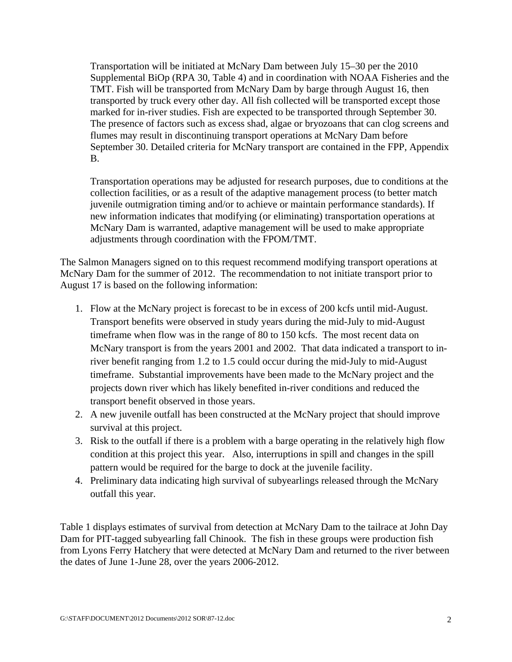Transportation will be initiated at McNary Dam between July 15–30 per the 2010 Supplemental BiOp (RPA 30, Table 4) and in coordination with NOAA Fisheries and the TMT. Fish will be transported from McNary Dam by barge through August 16, then transported by truck every other day. All fish collected will be transported except those marked for in-river studies. Fish are expected to be transported through September 30. The presence of factors such as excess shad, algae or bryozoans that can clog screens and flumes may result in discontinuing transport operations at McNary Dam before September 30. Detailed criteria for McNary transport are contained in the FPP, Appendix B.

Transportation operations may be adjusted for research purposes, due to conditions at the collection facilities, or as a result of the adaptive management process (to better match juvenile outmigration timing and/or to achieve or maintain performance standards). If new information indicates that modifying (or eliminating) transportation operations at McNary Dam is warranted, adaptive management will be used to make appropriate adjustments through coordination with the FPOM/TMT.

The Salmon Managers signed on to this request recommend modifying transport operations at McNary Dam for the summer of 2012. The recommendation to not initiate transport prior to August 17 is based on the following information:

- 1. Flow at the McNary project is forecast to be in excess of 200 kcfs until mid-August. Transport benefits were observed in study years during the mid-July to mid-August timeframe when flow was in the range of 80 to 150 kcfs. The most recent data on McNary transport is from the years 2001 and 2002. That data indicated a transport to inriver benefit ranging from 1.2 to 1.5 could occur during the mid-July to mid-August timeframe. Substantial improvements have been made to the McNary project and the projects down river which has likely benefited in-river conditions and reduced the transport benefit observed in those years.
- 2. A new juvenile outfall has been constructed at the McNary project that should improve survival at this project.
- 3. Risk to the outfall if there is a problem with a barge operating in the relatively high flow condition at this project this year. Also, interruptions in spill and changes in the spill pattern would be required for the barge to dock at the juvenile facility.
- 4. Preliminary data indicating high survival of subyearlings released through the McNary outfall this year.

Table 1 displays estimates of survival from detection at McNary Dam to the tailrace at John Day Dam for PIT-tagged subyearling fall Chinook. The fish in these groups were production fish from Lyons Ferry Hatchery that were detected at McNary Dam and returned to the river between the dates of June 1-June 28, over the years 2006-2012.